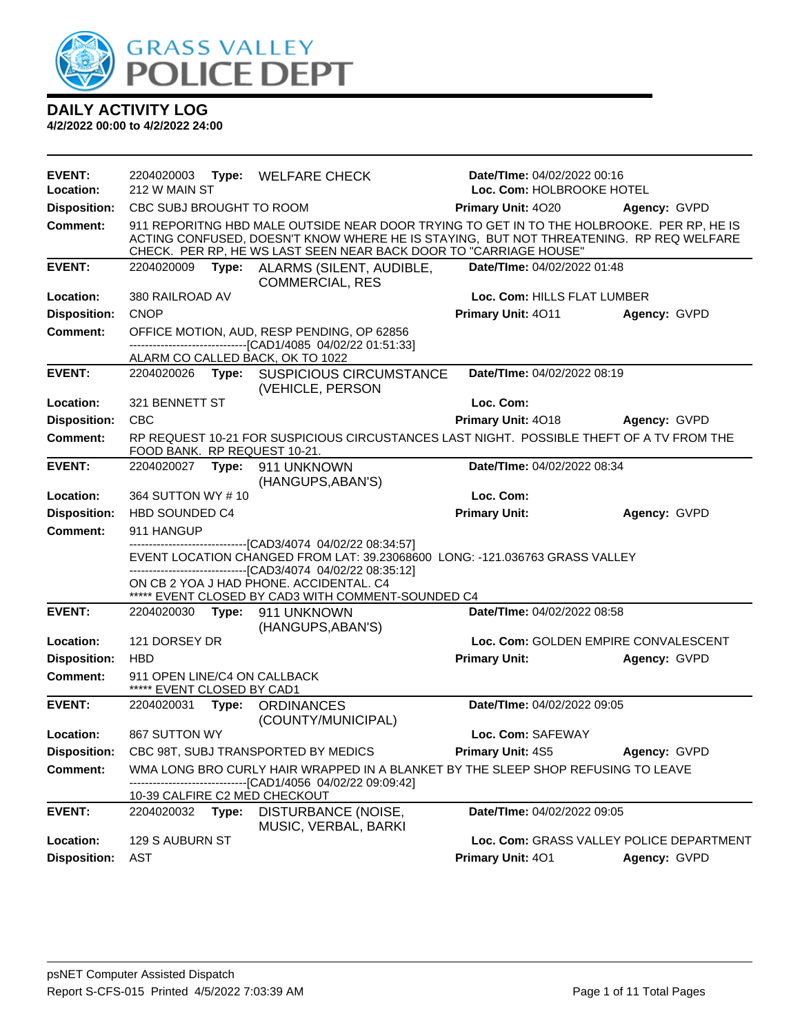

| <b>EVENT:</b><br>Location: | 2204020003<br>212 W MAIN ST                                |       | Type: WELFARE CHECK                                                                                                                                                                                                                                      | Date/TIme: 04/02/2022 00:16<br>Loc. Com: HOLBROOKE HOTEL |                                          |  |
|----------------------------|------------------------------------------------------------|-------|----------------------------------------------------------------------------------------------------------------------------------------------------------------------------------------------------------------------------------------------------------|----------------------------------------------------------|------------------------------------------|--|
| <b>Disposition:</b>        | CBC SUBJ BROUGHT TO ROOM                                   |       |                                                                                                                                                                                                                                                          | <b>Primary Unit: 4020</b>                                | Agency: GVPD                             |  |
| <b>Comment:</b>            |                                                            |       | 911 REPORITNG HBD MALE OUTSIDE NEAR DOOR TRYING TO GET IN TO THE HOLBROOKE. PER RP, HE IS<br>ACTING CONFUSED, DOESN'T KNOW WHERE HE IS STAYING, BUT NOT THREATENING. RP REQ WELFARE<br>CHECK. PER RP, HE WS LAST SEEN NEAR BACK DOOR TO "CARRIAGE HOUSE" |                                                          |                                          |  |
| <b>EVENT:</b>              | 2204020009                                                 | Type: | ALARMS (SILENT, AUDIBLE,<br><b>COMMERCIAL, RES</b>                                                                                                                                                                                                       | Date/TIme: 04/02/2022 01:48                              |                                          |  |
| Location:                  | 380 RAILROAD AV                                            |       |                                                                                                                                                                                                                                                          | Loc. Com: HILLS FLAT LUMBER                              |                                          |  |
| <b>Disposition:</b>        | <b>CNOP</b>                                                |       |                                                                                                                                                                                                                                                          | Primary Unit: 4011                                       | Agency: GVPD                             |  |
| Comment:                   |                                                            |       | OFFICE MOTION, AUD, RESP PENDING, OP 62856<br>----------------------------------[CAD1/4085 04/02/22 01:51:33]<br>ALARM CO CALLED BACK, OK TO 1022                                                                                                        |                                                          |                                          |  |
| <b>EVENT:</b>              | 2204020026 Type:                                           |       | <b>SUSPICIOUS CIRCUMSTANCE</b><br>(VEHICLE, PERSON                                                                                                                                                                                                       | Date/TIme: 04/02/2022 08:19                              |                                          |  |
| Location:                  | 321 BENNETT ST                                             |       |                                                                                                                                                                                                                                                          | Loc. Com:                                                |                                          |  |
| <b>Disposition:</b>        | <b>CBC</b>                                                 |       |                                                                                                                                                                                                                                                          | Primary Unit: 4018                                       | Agency: GVPD                             |  |
| <b>Comment:</b>            | FOOD BANK. RP REQUEST 10-21.                               |       | RP REQUEST 10-21 FOR SUSPICIOUS CIRCUSTANCES LAST NIGHT. POSSIBLE THEFT OF A TV FROM THE                                                                                                                                                                 |                                                          |                                          |  |
| <b>EVENT:</b>              | 2204020027 Type:                                           |       | 911 UNKNOWN<br>(HANGUPS, ABAN'S)                                                                                                                                                                                                                         | Date/TIme: 04/02/2022 08:34                              |                                          |  |
| Location:                  | 364 SUTTON WY #10                                          |       |                                                                                                                                                                                                                                                          | Loc. Com:                                                |                                          |  |
| <b>Disposition:</b>        | HBD SOUNDED C4                                             |       |                                                                                                                                                                                                                                                          | <b>Primary Unit:</b>                                     | Agency: GVPD                             |  |
| Comment:                   | 911 HANGUP                                                 |       |                                                                                                                                                                                                                                                          |                                                          |                                          |  |
|                            |                                                            |       | -----------------[CAD3/4074_04/02/22_08:34:57]<br>EVENT LOCATION CHANGED FROM LAT: 39.23068600 LONG: -121.036763 GRASS VALLEY<br>-------------------------------[CAD3/4074 04/02/22 08:35:12]                                                            |                                                          |                                          |  |
|                            |                                                            |       | ON CB 2 YOA J HAD PHONE. ACCIDENTAL. C4<br>***** EVENT CLOSED BY CAD3 WITH COMMENT-SOUNDED C4                                                                                                                                                            |                                                          |                                          |  |
| <b>EVENT:</b>              |                                                            |       | 2204020030 Type: 911 UNKNOWN<br>(HANGUPS, ABAN'S)                                                                                                                                                                                                        | Date/TIme: 04/02/2022 08:58                              |                                          |  |
| Location:                  | 121 DORSEY DR                                              |       |                                                                                                                                                                                                                                                          | Loc. Com: GOLDEN EMPIRE CONVALESCENT                     |                                          |  |
| <b>Disposition:</b>        | <b>HBD</b>                                                 |       |                                                                                                                                                                                                                                                          | <b>Primary Unit:</b>                                     | Agency: GVPD                             |  |
| Comment:                   | 911 OPEN LINE/C4 ON CALLBACK<br>***** EVENT CLOSED BY CAD1 |       |                                                                                                                                                                                                                                                          |                                                          |                                          |  |
| <b>EVENT:</b>              | 2204020031                                                 | Type: | <b>ORDINANCES</b><br>(COUNTY/MUNICIPAL)                                                                                                                                                                                                                  | Date/TIme: 04/02/2022 09:05                              |                                          |  |
| Location:                  | 867 SUTTON WY                                              |       |                                                                                                                                                                                                                                                          | Loc. Com: SAFEWAY                                        |                                          |  |
| <b>Disposition:</b>        |                                                            |       | CBC 98T, SUBJ TRANSPORTED BY MEDICS                                                                                                                                                                                                                      | Primary Unit: 4S5                                        | Agency: GVPD                             |  |
| <b>Comment:</b>            |                                                            |       | WMA LONG BRO CURLY HAIR WRAPPED IN A BLANKET BY THE SLEEP SHOP REFUSING TO LEAVE<br>------[CAD1/4056 04/02/22 09:09:42]                                                                                                                                  |                                                          |                                          |  |
| <b>EVENT:</b>              | 2204020032                                                 | Type: | 10-39 CALFIRE C2 MED CHECKOUT<br>DISTURBANCE (NOISE,                                                                                                                                                                                                     | Date/TIme: 04/02/2022 09:05                              |                                          |  |
| Location:                  | 129 S AUBURN ST                                            |       | MUSIC, VERBAL, BARKI                                                                                                                                                                                                                                     |                                                          | Loc. Com: GRASS VALLEY POLICE DEPARTMENT |  |
| <b>Disposition:</b>        | AST                                                        |       |                                                                                                                                                                                                                                                          | Primary Unit: 401                                        | Agency: GVPD                             |  |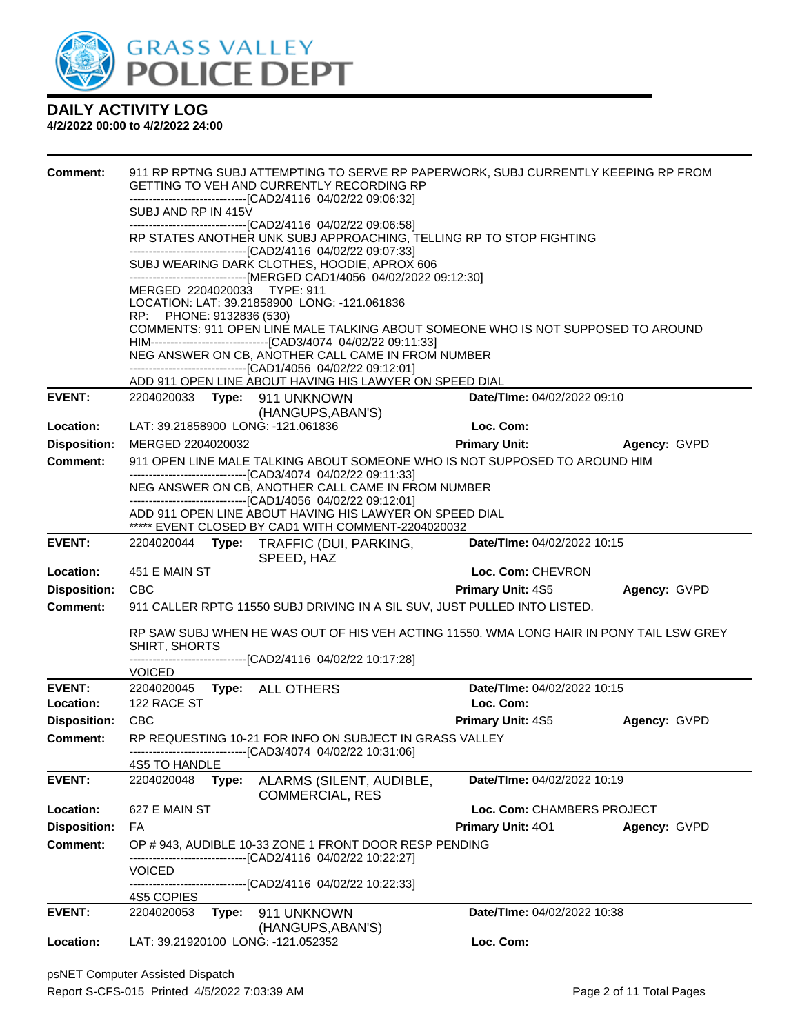

| <b>Comment:</b>     | 911 RP RPTNG SUBJ ATTEMPTING TO SERVE RP PAPERWORK, SUBJ CURRENTLY KEEPING RP FROM<br>GETTING TO VEH AND CURRENTLY RECORDING RP                                                        |                                          |  |  |  |  |
|---------------------|----------------------------------------------------------------------------------------------------------------------------------------------------------------------------------------|------------------------------------------|--|--|--|--|
|                     | -------------------------------[CAD2/4116 04/02/22 09:06:32]<br>SUBJ AND RP IN 415V                                                                                                    |                                          |  |  |  |  |
|                     | -------------------------------[CAD2/4116 04/02/22 09:06:58]<br>RP STATES ANOTHER UNK SUBJ APPROACHING, TELLING RP TO STOP FIGHTING                                                    |                                          |  |  |  |  |
|                     | --------------------------------[CAD2/4116 04/02/22 09:07:33]<br>SUBJ WEARING DARK CLOTHES, HOODIE, APROX 606<br>------------------------------[MERGED CAD1/4056 04/02/2022 09:12:30]  |                                          |  |  |  |  |
|                     | MERGED 2204020033 TYPE: 911<br>LOCATION: LAT: 39.21858900 LONG: -121.061836                                                                                                            |                                          |  |  |  |  |
|                     | RP: PHONE: 9132836 (530)<br>COMMENTS: 911 OPEN LINE MALE TALKING ABOUT SOMEONE WHO IS NOT SUPPOSED TO AROUND                                                                           |                                          |  |  |  |  |
|                     | HIM---------------------------------[CAD3/4074 04/02/22 09:11:33]<br>NEG ANSWER ON CB, ANOTHER CALL CAME IN FROM NUMBER<br>------------------------------[CAD1/4056 04/02/22 09:12:01] |                                          |  |  |  |  |
|                     | ADD 911 OPEN LINE ABOUT HAVING HIS LAWYER ON SPEED DIAL                                                                                                                                |                                          |  |  |  |  |
| <b>EVENT:</b>       | 2204020033 Type: 911 UNKNOWN                                                                                                                                                           | <b>Date/Time: 04/02/2022 09:10</b>       |  |  |  |  |
| <b>Location:</b>    | (HANGUPS, ABAN'S)<br>LAT: 39.21858900 LONG: -121.061836                                                                                                                                | Loc. Com:                                |  |  |  |  |
| <b>Disposition:</b> | MERGED 2204020032                                                                                                                                                                      | <b>Primary Unit:</b><br>Agency: GVPD     |  |  |  |  |
| Comment:            | 911 OPEN LINE MALE TALKING ABOUT SOMEONE WHO IS NOT SUPPOSED TO AROUND HIM                                                                                                             |                                          |  |  |  |  |
|                     | -------------------------------[CAD3/4074 04/02/22 09:11:33]                                                                                                                           |                                          |  |  |  |  |
|                     | NEG ANSWER ON CB, ANOTHER CALL CAME IN FROM NUMBER<br>-------------------------------[CAD1/4056 04/02/22 09:12:01]                                                                     |                                          |  |  |  |  |
|                     | ADD 911 OPEN LINE ABOUT HAVING HIS LAWYER ON SPEED DIAL<br>***** EVENT CLOSED BY CAD1 WITH COMMENT-2204020032                                                                          |                                          |  |  |  |  |
| <b>EVENT:</b>       | 2204020044<br>Type: TRAFFIC (DUI, PARKING,<br>SPEED, HAZ                                                                                                                               | Date/TIme: 04/02/2022 10:15              |  |  |  |  |
| Location:           | 451 E MAIN ST                                                                                                                                                                          | Loc. Com: CHEVRON                        |  |  |  |  |
| <b>Disposition:</b> | <b>CBC</b>                                                                                                                                                                             | <b>Primary Unit: 4S5</b><br>Agency: GVPD |  |  |  |  |
| <b>Comment:</b>     | 911 CALLER RPTG 11550 SUBJ DRIVING IN A SIL SUV, JUST PULLED INTO LISTED.                                                                                                              |                                          |  |  |  |  |
|                     | RP SAW SUBJ WHEN HE WAS OUT OF HIS VEH ACTING 11550. WMA LONG HAIR IN PONY TAIL LSW GREY<br>SHIRT, SHORTS                                                                              |                                          |  |  |  |  |
|                     | -------------------------------[CAD2/4116 04/02/22 10:17:28]<br><b>VOICED</b>                                                                                                          |                                          |  |  |  |  |
| <b>EVENT:</b>       | 2204020045    Type: ALL OTHERS                                                                                                                                                         | Date/TIme: 04/02/2022 10:15              |  |  |  |  |
| Location:           | 122 RACE ST                                                                                                                                                                            | Loc. Com:                                |  |  |  |  |
| Disposition: CBC    |                                                                                                                                                                                        | <b>Primary Unit: 4S5</b><br>Agency: GVPD |  |  |  |  |
| Comment:            | RP REQUESTING 10-21 FOR INFO ON SUBJECT IN GRASS VALLEY<br>------------------------------[CAD3/4074_04/02/22 10:31:06]                                                                 |                                          |  |  |  |  |
|                     | <b>4S5 TO HANDLE</b>                                                                                                                                                                   |                                          |  |  |  |  |
| <b>EVENT:</b>       | 2204020048<br>Type:<br>ALARMS (SILENT, AUDIBLE,<br><b>COMMERCIAL, RES</b>                                                                                                              | Date/TIme: 04/02/2022 10:19              |  |  |  |  |
| Location:           | 627 E MAIN ST                                                                                                                                                                          | Loc. Com: CHAMBERS PROJECT               |  |  |  |  |
| <b>Disposition:</b> | FA                                                                                                                                                                                     | <b>Primary Unit: 401</b><br>Agency: GVPD |  |  |  |  |
| <b>Comment:</b>     | OP #943, AUDIBLE 10-33 ZONE 1 FRONT DOOR RESP PENDING<br>-----------------------[CAD2/4116 04/02/22 10:22:27]                                                                          |                                          |  |  |  |  |
|                     | <b>VOICED</b><br>----------------[CAD2/4116_04/02/22 10:22:33]                                                                                                                         |                                          |  |  |  |  |
|                     | 4S5 COPIES                                                                                                                                                                             |                                          |  |  |  |  |
| <b>EVENT:</b>       | 2204020053<br>Type:<br>911 UNKNOWN                                                                                                                                                     | Date/TIme: 04/02/2022 10:38              |  |  |  |  |
| Location:           | (HANGUPS, ABAN'S)<br>LAT: 39.21920100 LONG: -121.052352                                                                                                                                | Loc. Com:                                |  |  |  |  |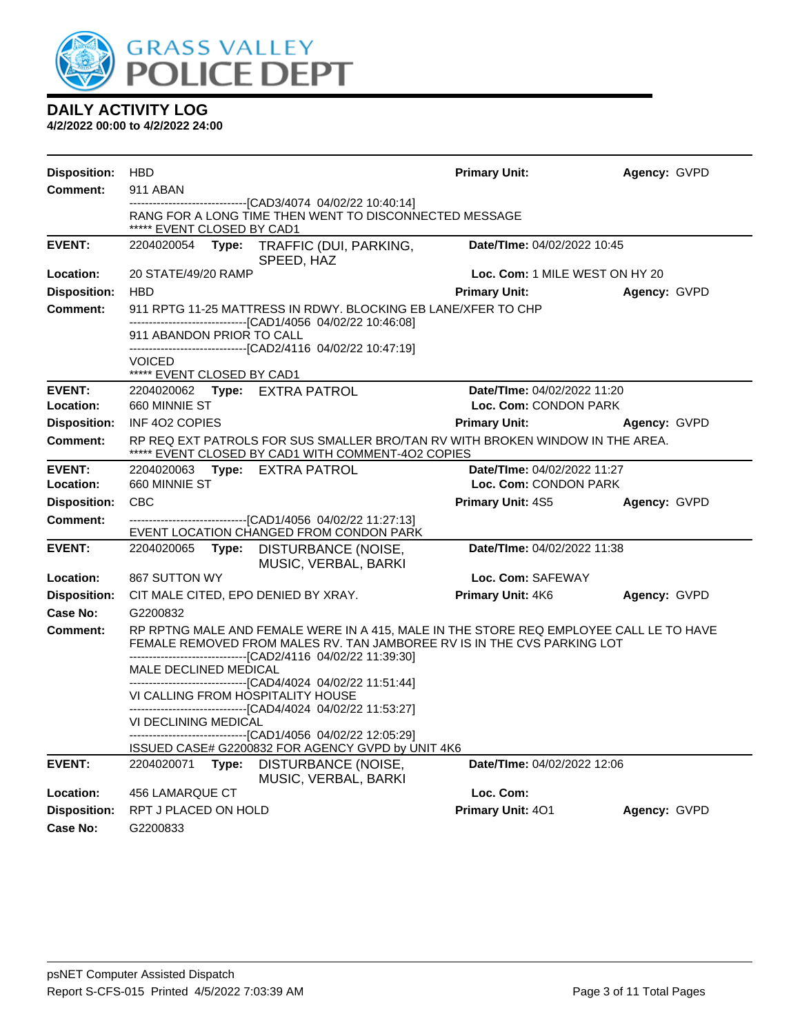

| <b>Disposition:</b> | <b>HBD</b>                                                 |                                                                                                                                                                                                                                                                                           | <b>Primary Unit:</b>           | Agency: GVPD |
|---------------------|------------------------------------------------------------|-------------------------------------------------------------------------------------------------------------------------------------------------------------------------------------------------------------------------------------------------------------------------------------------|--------------------------------|--------------|
| <b>Comment:</b>     | 911 ABAN                                                   |                                                                                                                                                                                                                                                                                           |                                |              |
|                     | ***** EVENT CLOSED BY CAD1                                 | --------------------------------[CAD3/4074_04/02/22 10:40:14]<br>RANG FOR A LONG TIME THEN WENT TO DISCONNECTED MESSAGE                                                                                                                                                                   |                                |              |
| <b>EVENT:</b>       |                                                            | 2204020054 Type: TRAFFIC (DUI, PARKING,<br>SPEED, HAZ                                                                                                                                                                                                                                     | Date/TIme: 04/02/2022 10:45    |              |
| Location:           | 20 STATE/49/20 RAMP                                        |                                                                                                                                                                                                                                                                                           | Loc. Com: 1 MILE WEST ON HY 20 |              |
| <b>Disposition:</b> | <b>HBD</b>                                                 |                                                                                                                                                                                                                                                                                           | <b>Primary Unit:</b>           | Agency: GVPD |
| <b>Comment:</b>     |                                                            | 911 RPTG 11-25 MATTRESS IN RDWY. BLOCKING EB LANE/XFER TO CHP<br>------------------------------[CAD1/4056  04/02/22 10:46:08]                                                                                                                                                             |                                |              |
|                     | 911 ABANDON PRIOR TO CALL                                  |                                                                                                                                                                                                                                                                                           |                                |              |
|                     | <b>VOICED</b><br>***** EVENT CLOSED BY CAD1                | ------------------------------[CAD2/4116_04/02/22 10:47:19]                                                                                                                                                                                                                               |                                |              |
| <b>EVENT:</b>       | 2204020062 Type: EXTRA PATROL                              |                                                                                                                                                                                                                                                                                           | Date/TIme: 04/02/2022 11:20    |              |
| Location:           | 660 MINNIE ST                                              |                                                                                                                                                                                                                                                                                           | Loc. Com: CONDON PARK          |              |
| <b>Disposition:</b> | INF 402 COPIES                                             |                                                                                                                                                                                                                                                                                           | <b>Primary Unit:</b>           | Agency: GVPD |
| <b>Comment:</b>     |                                                            | RP REQ EXT PATROLS FOR SUS SMALLER BRO/TAN RV WITH BROKEN WINDOW IN THE AREA.<br>***** EVENT CLOSED BY CAD1 WITH COMMENT-402 COPIES                                                                                                                                                       |                                |              |
| <b>EVENT:</b>       | 2204020063                                                 | <b>Type: EXTRA PATROL</b>                                                                                                                                                                                                                                                                 | Date/TIme: 04/02/2022 11:27    |              |
| Location:           | 660 MINNIE ST                                              |                                                                                                                                                                                                                                                                                           | Loc. Com: CONDON PARK          |              |
| <b>Disposition:</b> | <b>CBC</b>                                                 |                                                                                                                                                                                                                                                                                           | Primary Unit: 4S5              | Agency: GVPD |
| Comment:            |                                                            | --------------------------------[CAD1/4056_04/02/22_11:27:13]<br>EVENT LOCATION CHANGED FROM CONDON PARK                                                                                                                                                                                  |                                |              |
| <b>EVENT:</b>       | 2204020065<br>Type:                                        | DISTURBANCE (NOISE,<br>MUSIC, VERBAL, BARKI                                                                                                                                                                                                                                               | Date/TIme: 04/02/2022 11:38    |              |
| Location:           | 867 SUTTON WY                                              |                                                                                                                                                                                                                                                                                           | Loc. Com: SAFEWAY              |              |
| <b>Disposition:</b> | CIT MALE CITED, EPO DENIED BY XRAY.                        |                                                                                                                                                                                                                                                                                           | Primary Unit: 4K6              | Agency: GVPD |
| Case No:            | G2200832                                                   |                                                                                                                                                                                                                                                                                           |                                |              |
| <b>Comment:</b>     | MALE DECLINED MEDICAL<br>VI CALLING FROM HOSPITALITY HOUSE | RP RPTNG MALE AND FEMALE WERE IN A 415, MALE IN THE STORE REQ EMPLOYEE CALL LE TO HAVE<br>FEMALE REMOVED FROM MALES RV. TAN JAMBOREE RV IS IN THE CVS PARKING LOT<br>------------------------[CAD2/4116_04/02/22_11:39:30]<br>------------------------------[CAD4/4024_04/02/22 11:51:44] |                                |              |
|                     | VI DECLINING MEDICAL                                       | ------------------------------[CAD4/4024_04/02/22 11:53:27]                                                                                                                                                                                                                               |                                |              |
|                     |                                                            | -------------------------------[CAD1/4056 04/02/22 12:05:29]<br>ISSUED CASE# G2200832 FOR AGENCY GVPD by UNIT 4K6                                                                                                                                                                         |                                |              |
| <b>EVENT:</b>       | 2204020071 Type:                                           | <b>DISTURBANCE (NOISE,</b><br>MUSIC, VERBAL, BARKI                                                                                                                                                                                                                                        | Date/TIme: 04/02/2022 12:06    |              |
| Location:           | 456 LAMARQUE CT                                            |                                                                                                                                                                                                                                                                                           | Loc. Com:                      |              |
| <b>Disposition:</b> | RPT J PLACED ON HOLD                                       |                                                                                                                                                                                                                                                                                           | Primary Unit: 401              | Agency: GVPD |
| Case No:            | G2200833                                                   |                                                                                                                                                                                                                                                                                           |                                |              |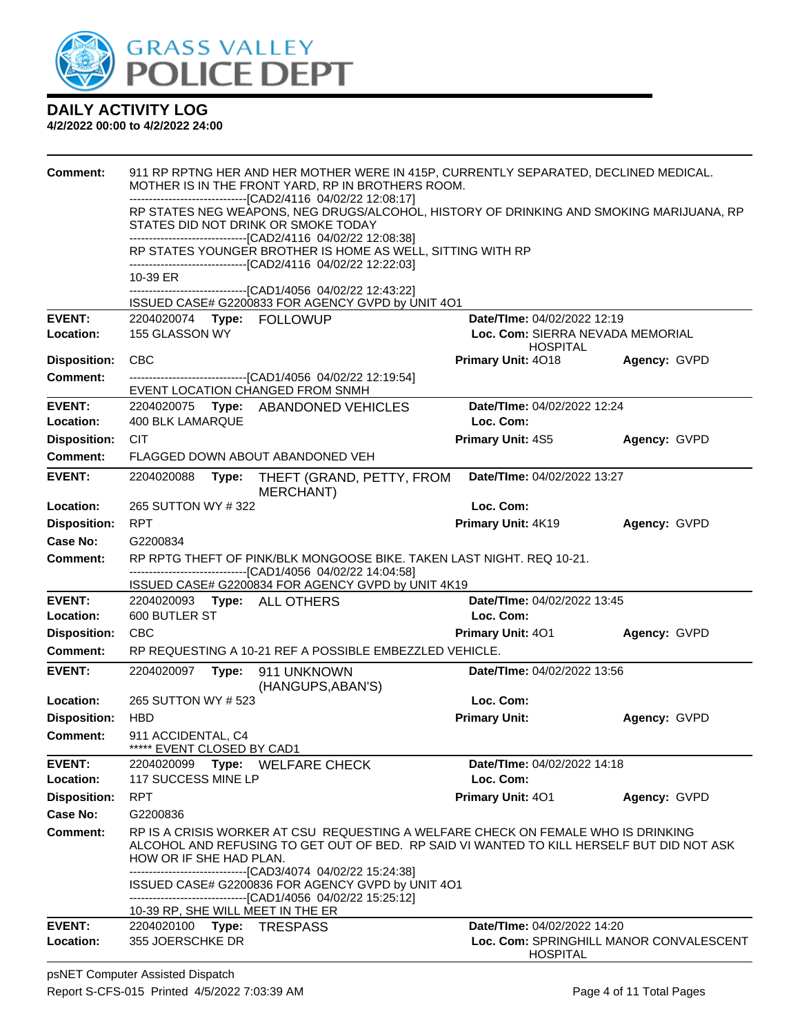

| <b>Comment:</b>                        | 911 RP RPTNG HER AND HER MOTHER WERE IN 415P, CURRENTLY SEPARATED, DECLINED MEDICAL.<br>MOTHER IS IN THE FRONT YARD, RP IN BROTHERS ROOM. |                                                                                                                                                                                                                                                |                                       |                                         |
|----------------------------------------|-------------------------------------------------------------------------------------------------------------------------------------------|------------------------------------------------------------------------------------------------------------------------------------------------------------------------------------------------------------------------------------------------|---------------------------------------|-----------------------------------------|
|                                        |                                                                                                                                           | -------------------------------[CAD2/4116 04/02/22 12:08:17]<br>RP STATES NEG WEAPONS, NEG DRUGS/ALCOHOL, HISTORY OF DRINKING AND SMOKING MARIJUANA, RP<br>STATES DID NOT DRINK OR SMOKE TODAY                                                 |                                       |                                         |
|                                        |                                                                                                                                           | -------------------------------[CAD2/4116 04/02/22 12:08:38]<br>RP STATES YOUNGER BROTHER IS HOME AS WELL, SITTING WITH RP                                                                                                                     |                                       |                                         |
|                                        | 10-39 ER                                                                                                                                  | ------------------------------[CAD2/4116 04/02/22 12:22:03]                                                                                                                                                                                    |                                       |                                         |
|                                        |                                                                                                                                           | -------------------------------[CAD1/4056 04/02/22 12:43:22]                                                                                                                                                                                   |                                       |                                         |
| <b>EVENT:</b>                          | 2204020074 Type: FOLLOWUP                                                                                                                 | ISSUED CASE# G2200833 FOR AGENCY GVPD by UNIT 4O1                                                                                                                                                                                              | Date/TIme: 04/02/2022 12:19           |                                         |
| Location:                              | 155 GLASSON WY                                                                                                                            |                                                                                                                                                                                                                                                | Loc. Com: SIERRA NEVADA MEMORIAL      |                                         |
| <b>Disposition:</b>                    | <b>CBC</b>                                                                                                                                |                                                                                                                                                                                                                                                | <b>HOSPITAL</b><br>Primary Unit: 4018 | Agency: GVPD                            |
| <b>Comment:</b>                        |                                                                                                                                           | -------------------------------[CAD1/4056 04/02/22 12:19:54]                                                                                                                                                                                   |                                       |                                         |
|                                        | EVENT LOCATION CHANGED FROM SNMH                                                                                                          |                                                                                                                                                                                                                                                |                                       |                                         |
| <b>EVENT:</b>                          |                                                                                                                                           | 2204020075 Type: ABANDONED VEHICLES                                                                                                                                                                                                            | Date/TIme: 04/02/2022 12:24           |                                         |
| Location:                              | 400 BLK LAMARQUE                                                                                                                          |                                                                                                                                                                                                                                                | Loc. Com:                             |                                         |
| <b>Disposition:</b><br><b>Comment:</b> | <b>CIT</b>                                                                                                                                | FLAGGED DOWN ABOUT ABANDONED VEH                                                                                                                                                                                                               | <b>Primary Unit: 4S5</b>              | Agency: GVPD                            |
|                                        |                                                                                                                                           |                                                                                                                                                                                                                                                |                                       |                                         |
| <b>EVENT:</b>                          | 2204020088<br>Type:                                                                                                                       | THEFT (GRAND, PETTY, FROM<br>MERCHANT)                                                                                                                                                                                                         | Date/TIme: 04/02/2022 13:27           |                                         |
| Location:                              | 265 SUTTON WY #322                                                                                                                        |                                                                                                                                                                                                                                                | Loc. Com:                             |                                         |
| <b>Disposition:</b>                    | <b>RPT</b>                                                                                                                                |                                                                                                                                                                                                                                                | Primary Unit: 4K19                    | Agency: GVPD                            |
| Case No:                               | G2200834                                                                                                                                  |                                                                                                                                                                                                                                                |                                       |                                         |
| <b>Comment:</b>                        |                                                                                                                                           | RP RPTG THEFT OF PINK/BLK MONGOOSE BIKE. TAKEN LAST NIGHT. REQ 10-21.<br>-------------------------------[CAD1/4056 04/02/22 14:04:58]<br>ISSUED CASE# G2200834 FOR AGENCY GVPD by UNIT 4K19                                                    |                                       |                                         |
| <b>EVENT:</b>                          | 2204020093 Type: ALL OTHERS                                                                                                               |                                                                                                                                                                                                                                                | Date/TIme: 04/02/2022 13:45           |                                         |
| Location:                              | 600 BUTLER ST                                                                                                                             |                                                                                                                                                                                                                                                | Loc. Com:                             |                                         |
| <b>Disposition:</b>                    | <b>CBC</b>                                                                                                                                |                                                                                                                                                                                                                                                | <b>Primary Unit: 401</b>              | Agency: GVPD                            |
| Comment:                               |                                                                                                                                           | RP REQUESTING A 10-21 REF A POSSIBLE EMBEZZLED VEHICLE.                                                                                                                                                                                        |                                       |                                         |
| <b>EVENT:</b>                          | 2204020097<br>Type:                                                                                                                       | 911 UNKNOWN<br>(HANGUPS, ABAN'S)                                                                                                                                                                                                               | Date/TIme: 04/02/2022 13:56           |                                         |
| Location:                              | 265 SUTTON WY # 523                                                                                                                       |                                                                                                                                                                                                                                                | Loc. Com:                             |                                         |
| <b>Disposition:</b>                    | <b>HBD</b>                                                                                                                                |                                                                                                                                                                                                                                                | <b>Primary Unit:</b>                  | Agency: GVPD                            |
| Comment:                               | 911 ACCIDENTAL, C4<br>***** EVENT CLOSED BY CAD1                                                                                          |                                                                                                                                                                                                                                                |                                       |                                         |
| <b>EVENT:</b>                          |                                                                                                                                           | 2204020099 Type: WELFARE CHECK                                                                                                                                                                                                                 | Date/TIme: 04/02/2022 14:18           |                                         |
| Location:                              | 117 SUCCESS MINE LP                                                                                                                       |                                                                                                                                                                                                                                                | Loc. Com:                             |                                         |
| <b>Disposition:</b>                    | <b>RPT</b>                                                                                                                                |                                                                                                                                                                                                                                                | Primary Unit: 401                     | Agency: GVPD                            |
| Case No:                               | G2200836                                                                                                                                  |                                                                                                                                                                                                                                                |                                       |                                         |
| Comment:                               | HOW OR IF SHE HAD PLAN.                                                                                                                   | RP IS A CRISIS WORKER AT CSU REQUESTING A WELFARE CHECK ON FEMALE WHO IS DRINKING<br>ALCOHOL AND REFUSING TO GET OUT OF BED. RP SAID VI WANTED TO KILL HERSELF BUT DID NOT ASK<br>-------------------------------[CAD3/4074 04/02/22 15:24:38] |                                       |                                         |
|                                        | 10-39 RP, SHE WILL MEET IN THE ER                                                                                                         | ISSUED CASE# G2200836 FOR AGENCY GVPD by UNIT 4O1<br>-------------------------------[CAD1/4056_04/02/22 15:25:12]                                                                                                                              |                                       |                                         |
| <b>EVENT:</b>                          | 2204020100<br>Type:                                                                                                                       | <b>TRESPASS</b>                                                                                                                                                                                                                                | <b>Date/Time: 04/02/2022 14:20</b>    |                                         |
| Location:                              | 355 JOERSCHKE DR                                                                                                                          |                                                                                                                                                                                                                                                | <b>HOSPITAL</b>                       | Loc. Com: SPRINGHILL MANOR CONVALESCENT |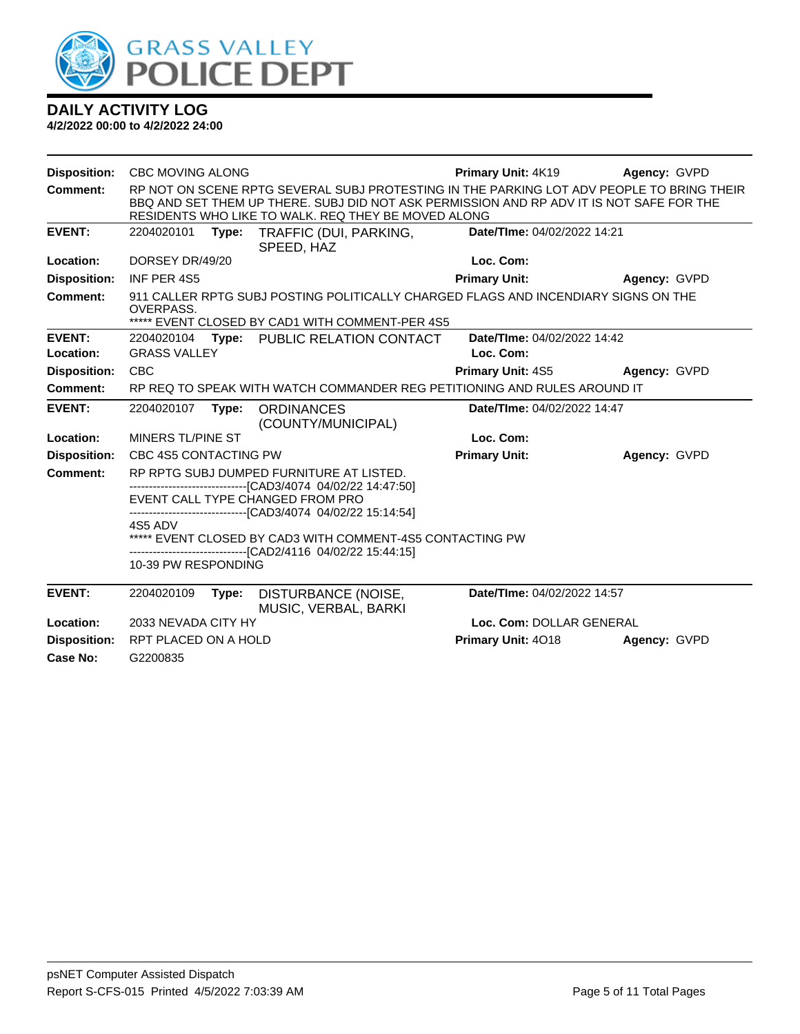

| <b>Disposition:</b>        | <b>CBC MOVING ALONG</b>           |       |                                                                                                                                                                                                                                              | <b>Primary Unit: 4K19</b>                | Agency: GVPD |
|----------------------------|-----------------------------------|-------|----------------------------------------------------------------------------------------------------------------------------------------------------------------------------------------------------------------------------------------------|------------------------------------------|--------------|
| <b>Comment:</b>            |                                   |       | RP NOT ON SCENE RPTG SEVERAL SUBJ PROTESTING IN THE PARKING LOT ADV PEOPLE TO BRING THEIR<br>BBQ AND SET THEM UP THERE. SUBJ DID NOT ASK PERMISSION AND RP ADV IT IS NOT SAFE FOR THE<br>RESIDENTS WHO LIKE TO WALK. REQ THEY BE MOVED ALONG |                                          |              |
| <b>EVENT:</b>              | 2204020101                        | Type: | TRAFFIC (DUI, PARKING,<br>SPEED, HAZ                                                                                                                                                                                                         | Date/TIme: 04/02/2022 14:21              |              |
| Location:                  | DORSEY DR/49/20                   |       |                                                                                                                                                                                                                                              | Loc. Com:                                |              |
| <b>Disposition:</b>        | INF PER 4S5                       |       |                                                                                                                                                                                                                                              | <b>Primary Unit:</b>                     | Agency: GVPD |
| Comment:                   | <b>OVERPASS.</b>                  |       | 911 CALLER RPTG SUBJ POSTING POLITICALLY CHARGED FLAGS AND INCENDIARY SIGNS ON THE<br>***** EVENT CLOSED BY CAD1 WITH COMMENT-PER 4S5                                                                                                        |                                          |              |
| <b>EVENT:</b><br>Location: | 2204020104<br><b>GRASS VALLEY</b> |       | Type: PUBLIC RELATION CONTACT                                                                                                                                                                                                                | Date/TIme: 04/02/2022 14:42<br>Loc. Com: |              |
| <b>Disposition:</b>        | <b>CBC</b>                        |       |                                                                                                                                                                                                                                              | <b>Primary Unit: 4S5</b>                 | Agency: GVPD |
| Comment:                   |                                   |       | RP REQ TO SPEAK WITH WATCH COMMANDER REG PETITIONING AND RULES AROUND IT                                                                                                                                                                     |                                          |              |
| <b>EVENT:</b>              | 2204020107                        | Type: | <b>ORDINANCES</b><br>(COUNTY/MUNICIPAL)                                                                                                                                                                                                      | Date/TIme: 04/02/2022 14:47              |              |
| Location:                  | MINERS TL/PINE ST                 |       |                                                                                                                                                                                                                                              | Loc. Com:                                |              |
| <b>Disposition:</b>        | CBC 4S5 CONTACTING PW             |       |                                                                                                                                                                                                                                              | <b>Primary Unit:</b>                     | Agency: GVPD |
| Comment:                   |                                   |       | RP RPTG SUBJ DUMPED FURNITURE AT LISTED.                                                                                                                                                                                                     |                                          |              |
|                            |                                   |       | -------------------------------[CAD3/4074_04/02/22_14:47:50]<br>EVENT CALL TYPE CHANGED FROM PRO<br>------------------------------[CAD3/4074_04/02/22 15:14:54]                                                                              |                                          |              |
|                            | 4S5 ADV                           |       | ***** EVENT CLOSED BY CAD3 WITH COMMENT-4S5 CONTACTING PW<br>---------------------------------[CAD2/4116_04/02/22_15:44:15]                                                                                                                  |                                          |              |
|                            | 10-39 PW RESPONDING               |       |                                                                                                                                                                                                                                              |                                          |              |
| <b>EVENT:</b>              | 2204020109                        | Type: | DISTURBANCE (NOISE,<br>MUSIC, VERBAL, BARKI                                                                                                                                                                                                  | Date/TIme: 04/02/2022 14:57              |              |
| Location:                  | 2033 NEVADA CITY HY               |       |                                                                                                                                                                                                                                              | Loc. Com: DOLLAR GENERAL                 |              |
| <b>Disposition:</b>        | RPT PLACED ON A HOLD              |       |                                                                                                                                                                                                                                              | Primary Unit: 4018                       | Agency: GVPD |
| Case No:                   | G2200835                          |       |                                                                                                                                                                                                                                              |                                          |              |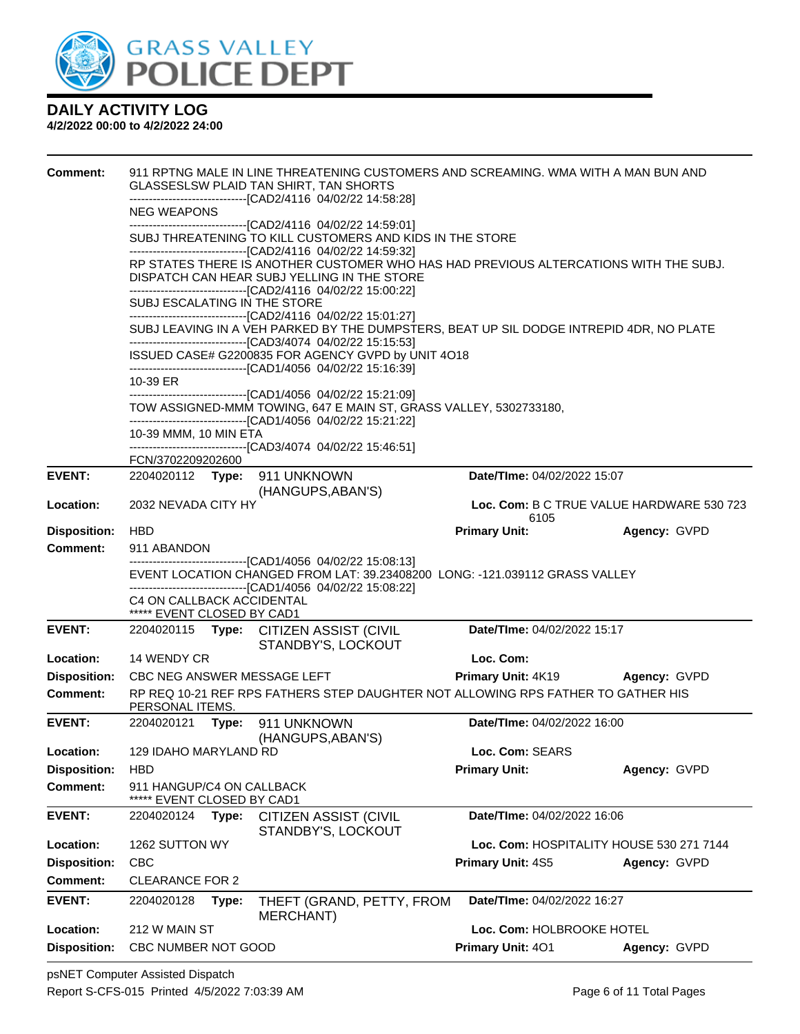

### **4/2/2022 00:00 to 4/2/2022 24:00**

| <b>Comment:</b>     |                                                                |       | 911 RPTNG MALE IN LINE THREATENING CUSTOMERS AND SCREAMING. WMA WITH A MAN BUN AND<br>GLASSESLSW PLAID TAN SHIRT, TAN SHORTS                                                                                            |                             |                                           |
|---------------------|----------------------------------------------------------------|-------|-------------------------------------------------------------------------------------------------------------------------------------------------------------------------------------------------------------------------|-----------------------------|-------------------------------------------|
|                     | <b>NEG WEAPONS</b>                                             |       | ------------------------------[CAD2/4116 04/02/22 14:58:28]                                                                                                                                                             |                             |                                           |
|                     |                                                                |       | -------------------------------[CAD2/4116 04/02/22 14:59:01]<br>SUBJ THREATENING TO KILL CUSTOMERS AND KIDS IN THE STORE<br>-------------------------------[CAD2/4116 04/02/22 14:59:32]                                |                             |                                           |
|                     |                                                                |       | RP STATES THERE IS ANOTHER CUSTOMER WHO HAS HAD PREVIOUS ALTERCATIONS WITH THE SUBJ.<br>DISPATCH CAN HEAR SUBJ YELLING IN THE STORE                                                                                     |                             |                                           |
|                     | SUBJ ESCALATING IN THE STORE                                   |       | -------------------------------[CAD2/4116 04/02/22 15:00:22]                                                                                                                                                            |                             |                                           |
|                     |                                                                |       | -------------------------------[CAD2/4116 04/02/22 15:01:27]<br>SUBJ LEAVING IN A VEH PARKED BY THE DUMPSTERS, BEAT UP SIL DODGE INTREPID 4DR, NO PLATE<br>-------------------------------[CAD3/4074 04/02/22 15:15:53] |                             |                                           |
|                     |                                                                |       | ISSUED CASE# G2200835 FOR AGENCY GVPD by UNIT 4O18<br>-------------------------------[CAD1/4056 04/02/22 15:16:39]                                                                                                      |                             |                                           |
|                     | 10-39 ER                                                       |       | ------------------------------[CAD1/4056 04/02/22 15:21:09]                                                                                                                                                             |                             |                                           |
|                     |                                                                |       | TOW ASSIGNED-MMM TOWING, 647 E MAIN ST, GRASS VALLEY, 5302733180,<br>-------------------------------[CAD1/4056 04/02/22 15:21:22]                                                                                       |                             |                                           |
|                     | 10-39 MMM, 10 MIN ETA                                          |       | ------------------------------[CAD3/4074 04/02/22 15:46:51]                                                                                                                                                             |                             |                                           |
|                     | FCN/3702209202600                                              |       |                                                                                                                                                                                                                         |                             |                                           |
| <b>EVENT:</b>       |                                                                |       | 2204020112 Type: 911 UNKNOWN<br>(HANGUPS, ABAN'S)                                                                                                                                                                       | Date/TIme: 04/02/2022 15:07 |                                           |
| Location:           | 2032 NEVADA CITY HY                                            |       |                                                                                                                                                                                                                         | 6105                        | Loc. Com: B C TRUE VALUE HARDWARE 530 723 |
| <b>Disposition:</b> | HBD                                                            |       |                                                                                                                                                                                                                         | <b>Primary Unit:</b>        | Agency: GVPD                              |
| <b>Comment:</b>     | 911 ABANDON                                                    |       |                                                                                                                                                                                                                         |                             |                                           |
|                     |                                                                |       | -------------------------[CAD1/4056_04/02/22_15:08:13]<br>EVENT LOCATION CHANGED FROM LAT: 39.23408200 LONG: -121.039112 GRASS VALLEY<br>-------------------------------[CAD1/4056 04/02/22 15:08:22]                   |                             |                                           |
|                     | <b>C4 ON CALLBACK ACCIDENTAL</b><br>***** EVENT CLOSED BY CAD1 |       |                                                                                                                                                                                                                         |                             |                                           |
| <b>EVENT:</b>       |                                                                |       | 2204020115 Type: CITIZEN ASSIST (CIVIL<br>STANDBY'S, LOCKOUT                                                                                                                                                            | Date/TIme: 04/02/2022 15:17 |                                           |
| Location:           | 14 WENDY CR                                                    |       |                                                                                                                                                                                                                         | Loc. Com:                   |                                           |
| <b>Disposition:</b> |                                                                |       | CBC NEG ANSWER MESSAGE LEFT                                                                                                                                                                                             | <b>Primary Unit: 4K19</b>   | Agency: GVPD                              |
| <b>Comment:</b>     | PERSONAL ITEMS.                                                |       | RP REQ 10-21 REF RPS FATHERS STEP DAUGHTER NOT ALLOWING RPS FATHER TO GATHER HIS                                                                                                                                        |                             |                                           |
| <b>EVENT:</b>       |                                                                |       | 2204020121 Type: 911 UNKNOWN<br>(HANGUPS, ABAN'S)                                                                                                                                                                       | Date/TIme: 04/02/2022 16:00 |                                           |
|                     | Location: 129 IDAHO MARYLAND RD                                |       |                                                                                                                                                                                                                         | Loc. Com: SEARS             |                                           |
| <b>Disposition:</b> | <b>HBD</b>                                                     |       |                                                                                                                                                                                                                         | <b>Primary Unit:</b>        | Agency: GVPD                              |
| <b>Comment:</b>     | 911 HANGUP/C4 ON CALLBACK<br>EVENT CLOSED BY CAD1              |       |                                                                                                                                                                                                                         |                             |                                           |
| <b>EVENT:</b>       | 2204020124                                                     | Type: | <b>CITIZEN ASSIST (CIVIL</b><br>STANDBY'S, LOCKOUT                                                                                                                                                                      | Date/TIme: 04/02/2022 16:06 |                                           |
| Location:           | 1262 SUTTON WY                                                 |       |                                                                                                                                                                                                                         |                             | Loc. Com: HOSPITALITY HOUSE 530 271 7144  |
| <b>Disposition:</b> | <b>CBC</b>                                                     |       |                                                                                                                                                                                                                         | Primary Unit: 4S5           | Agency: GVPD                              |
| <b>Comment:</b>     | <b>CLEARANCE FOR 2</b>                                         |       |                                                                                                                                                                                                                         |                             |                                           |
| <b>EVENT:</b>       | 2204020128                                                     |       |                                                                                                                                                                                                                         | Date/TIme: 04/02/2022 16:27 |                                           |
|                     |                                                                | Type: | THEFT (GRAND, PETTY, FROM                                                                                                                                                                                               |                             |                                           |
| Location:           | 212 W MAIN ST                                                  |       | <b>MERCHANT)</b>                                                                                                                                                                                                        | Loc. Com: HOLBROOKE HOTEL   |                                           |

psNET Computer Assisted Dispatch Report S-CFS-015 Printed 4/5/2022 7:03:39 AM Page 6 of 11 Total Pages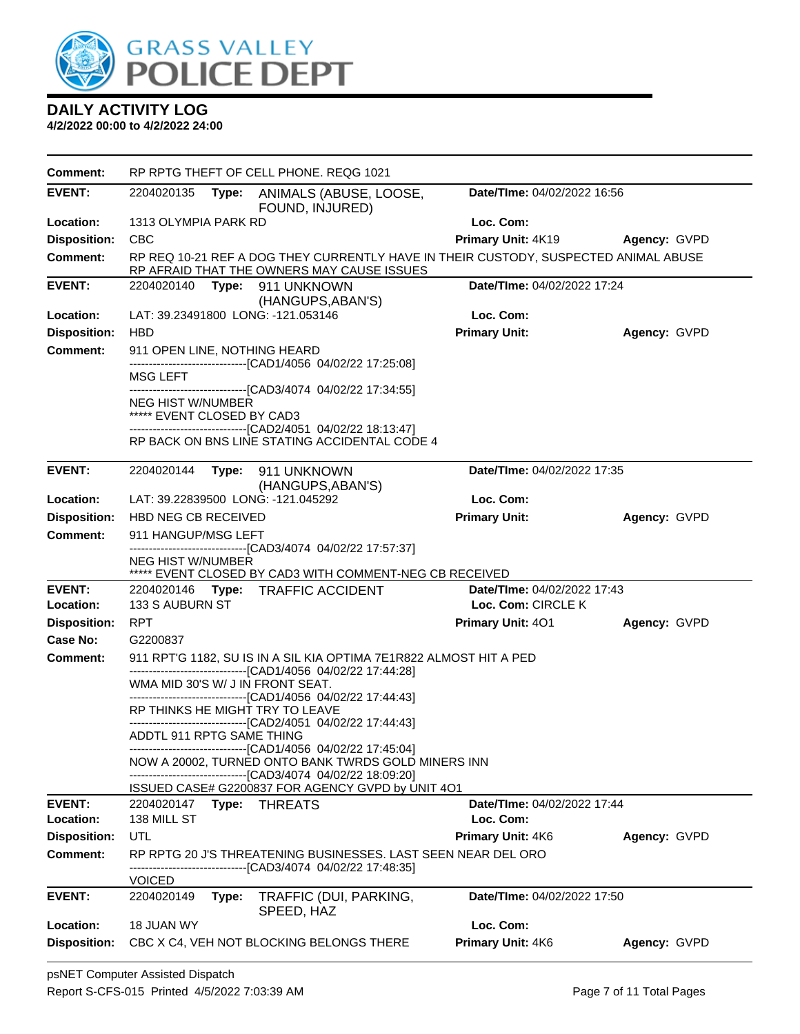

| Comment:            | RP RPTG THEFT OF CELL PHONE. REQG 1021                                                                                                                                            |                             |              |
|---------------------|-----------------------------------------------------------------------------------------------------------------------------------------------------------------------------------|-----------------------------|--------------|
| <b>EVENT:</b>       | 2204020135<br>Type:<br>ANIMALS (ABUSE, LOOSE,<br>FOUND, INJURED)                                                                                                                  | Date/TIme: 04/02/2022 16:56 |              |
| Location:           | 1313 OLYMPIA PARK RD                                                                                                                                                              | Loc. Com:                   |              |
| <b>Disposition:</b> | <b>CBC</b>                                                                                                                                                                        | <b>Primary Unit: 4K19</b>   | Agency: GVPD |
| <b>Comment:</b>     | RP REQ 10-21 REF A DOG THEY CURRENTLY HAVE IN THEIR CUSTODY, SUSPECTED ANIMAL ABUSE<br>RP AFRAID THAT THE OWNERS MAY CAUSE ISSUES                                                 |                             |              |
| <b>EVENT:</b>       | 2204020140<br>Type: 911 UNKNOWN<br>(HANGUPS, ABAN'S)                                                                                                                              | Date/TIme: 04/02/2022 17:24 |              |
| Location:           | LAT: 39.23491800 LONG: -121.053146                                                                                                                                                | Loc. Com:                   |              |
| <b>Disposition:</b> | <b>HBD</b>                                                                                                                                                                        | <b>Primary Unit:</b>        | Agency: GVPD |
| <b>Comment:</b>     | 911 OPEN LINE, NOTHING HEARD<br>-------------------------------[CAD1/4056 04/02/22 17:25:08]                                                                                      |                             |              |
|                     | MSG LEFT<br>------------------------------[CAD3/4074 04/02/22 17:34:55]                                                                                                           |                             |              |
|                     | NEG HIST W/NUMBER                                                                                                                                                                 |                             |              |
|                     | ***** EVENT CLOSED BY CAD3                                                                                                                                                        |                             |              |
|                     | -------------------------------[CAD2/4051 04/02/22 18:13:47]<br>RP BACK ON BNS LINE STATING ACCIDENTAL CODE 4                                                                     |                             |              |
|                     |                                                                                                                                                                                   |                             |              |
| <b>EVENT:</b>       | 2204020144<br>Type: 911 UNKNOWN                                                                                                                                                   | Date/TIme: 04/02/2022 17:35 |              |
| Location:           | (HANGUPS, ABAN'S)<br>LAT: 39.22839500 LONG: -121.045292                                                                                                                           | Loc. Com:                   |              |
| <b>Disposition:</b> | <b>HBD NEG CB RECEIVED</b>                                                                                                                                                        | <b>Primary Unit:</b>        | Agency: GVPD |
| <b>Comment:</b>     | 911 HANGUP/MSG LEFT                                                                                                                                                               |                             |              |
|                     | -------------------------------[CAD3/4074 04/02/22 17:57:37]                                                                                                                      |                             |              |
|                     | NEG HIST W/NUMBER<br>***** EVENT CLOSED BY CAD3 WITH COMMENT-NEG CB RECEIVED                                                                                                      |                             |              |
| <b>EVENT:</b>       | 2204020146 Type: TRAFFIC ACCIDENT                                                                                                                                                 | Date/TIme: 04/02/2022 17:43 |              |
| Location:           | 133 S AUBURN ST                                                                                                                                                                   | Loc. Com: CIRCLE K          |              |
| <b>Disposition:</b> | <b>RPT</b>                                                                                                                                                                        | <b>Primary Unit: 401</b>    | Agency: GVPD |
| Case No:            | G2200837                                                                                                                                                                          |                             |              |
| Comment:            | 911 RPT'G 1182, SU IS IN A SIL KIA OPTIMA 7E1R822 ALMOST HIT A PED<br>-------------------------------[CAD1/4056 04/02/22 17:44:28]                                                |                             |              |
|                     | WMA MID 30'S W/ J IN FRONT SEAT.<br>-------------------------------[CAD1/4056 04/02/22 17:44:43]                                                                                  |                             |              |
|                     | RP THINKS HE MIGHT TRY TO LEAVE                                                                                                                                                   |                             |              |
|                     | ---------------------------------[CAD2/4051_04/02/22_17:44:43]<br>ADDTL 911 RPTG SAME THING                                                                                       |                             |              |
|                     | ------------------------------[CAD1/4056 04/02/22 17:45:04]<br>NOW A 20002, TURNED ONTO BANK TWRDS GOLD MINERS INN<br>------------------------------[CAD3/4074 04/02/22 18:09:20] |                             |              |
|                     | ISSUED CASE# G2200837 FOR AGENCY GVPD by UNIT 4O1                                                                                                                                 |                             |              |
| <b>EVENT:</b>       | <b>Type: THREATS</b><br>2204020147                                                                                                                                                | Date/TIme: 04/02/2022 17:44 |              |
| Location:           | 138 MILL ST                                                                                                                                                                       | Loc. Com:                   |              |
| <b>Disposition:</b> | UTL                                                                                                                                                                               | Primary Unit: 4K6           | Agency: GVPD |
| <b>Comment:</b>     | RP RPTG 20 J'S THREATENING BUSINESSES. LAST SEEN NEAR DEL ORO<br>-----------------------[CAD3/4074_04/02/22 17:48:35]                                                             |                             |              |
|                     | <b>VOICED</b>                                                                                                                                                                     |                             |              |
| <b>EVENT:</b>       | 2204020149<br>TRAFFIC (DUI, PARKING,<br>Type:<br>SPEED, HAZ                                                                                                                       | Date/TIme: 04/02/2022 17:50 |              |
| Location:           | <b>18 JUAN WY</b>                                                                                                                                                                 | Loc. Com:                   |              |
| <b>Disposition:</b> | CBC X C4, VEH NOT BLOCKING BELONGS THERE                                                                                                                                          | Primary Unit: 4K6           | Agency: GVPD |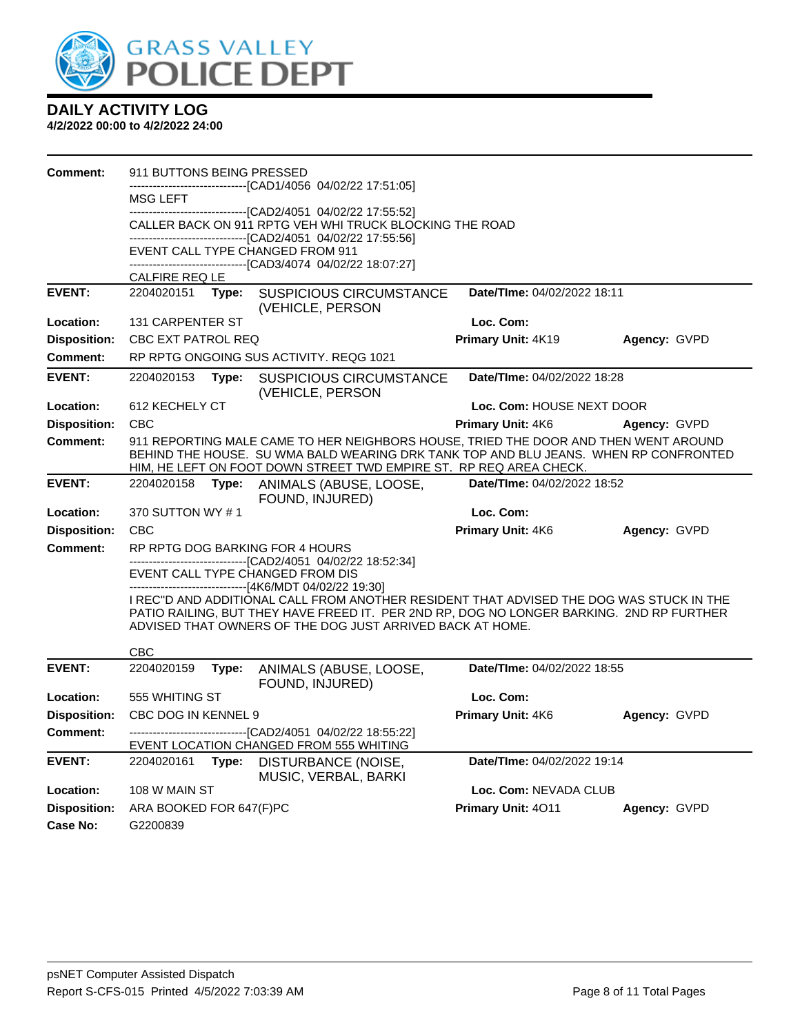

| <b>Comment:</b>     | 911 BUTTONS BEING PRESSED |       |                                                                                                                                                                                                                                                   |                             |              |
|---------------------|---------------------------|-------|---------------------------------------------------------------------------------------------------------------------------------------------------------------------------------------------------------------------------------------------------|-----------------------------|--------------|
|                     | <b>MSG LEFT</b>           |       | -----------------------[CAD1/4056_04/02/22 17:51:05]                                                                                                                                                                                              |                             |              |
|                     |                           |       | -------------------------------[CAD2/4051_04/02/22_17:55:52]<br>CALLER BACK ON 911 RPTG VEH WHI TRUCK BLOCKING THE ROAD                                                                                                                           |                             |              |
|                     |                           |       | --------------------------------[CAD2/4051_04/02/22_17:55:56]<br>EVENT CALL TYPE CHANGED FROM 911<br>-------------------------------[CAD3/4074 04/02/22 18:07:27]                                                                                 |                             |              |
|                     | CALFIRE REQ LE            |       |                                                                                                                                                                                                                                                   |                             |              |
| <b>EVENT:</b>       | 2204020151                | Type: | <b>SUSPICIOUS CIRCUMSTANCE</b><br>(VEHICLE, PERSON                                                                                                                                                                                                | Date/TIme: 04/02/2022 18:11 |              |
| Location:           | 131 CARPENTER ST          |       |                                                                                                                                                                                                                                                   | Loc. Com:                   |              |
| <b>Disposition:</b> | CBC EXT PATROL REQ        |       |                                                                                                                                                                                                                                                   | Primary Unit: 4K19          | Agency: GVPD |
| Comment:            |                           |       | RP RPTG ONGOING SUS ACTIVITY. REQG 1021                                                                                                                                                                                                           |                             |              |
| <b>EVENT:</b>       | 2204020153                | Type: | <b>SUSPICIOUS CIRCUMSTANCE</b><br>(VEHICLE, PERSON                                                                                                                                                                                                | Date/TIme: 04/02/2022 18:28 |              |
| Location:           | 612 KECHELY CT            |       |                                                                                                                                                                                                                                                   | Loc. Com: HOUSE NEXT DOOR   |              |
| <b>Disposition:</b> | <b>CBC</b>                |       |                                                                                                                                                                                                                                                   | <b>Primary Unit: 4K6</b>    | Agency: GVPD |
| Comment:            |                           |       | 911 REPORTING MALE CAME TO HER NEIGHBORS HOUSE, TRIED THE DOOR AND THEN WENT AROUND<br>BEHIND THE HOUSE. SU WMA BALD WEARING DRK TANK TOP AND BLU JEANS. WHEN RP CONFRONTED<br>HIM, HE LEFT ON FOOT DOWN STREET TWD EMPIRE ST. RP REQ AREA CHECK. |                             |              |
| <b>EVENT:</b>       | 2204020158                | Type: | ANIMALS (ABUSE, LOOSE,<br>FOUND, INJURED)                                                                                                                                                                                                         | Date/TIme: 04/02/2022 18:52 |              |
| Location:           | 370 SUTTON WY #1          |       |                                                                                                                                                                                                                                                   | Loc. Com:                   |              |
| <b>Disposition:</b> | <b>CBC</b>                |       |                                                                                                                                                                                                                                                   | Primary Unit: 4K6           | Agency: GVPD |
| <b>Comment:</b>     |                           |       | RP RPTG DOG BARKING FOR 4 HOURS                                                                                                                                                                                                                   |                             |              |
|                     |                           |       | -----------------------[CAD2/4051_04/02/22 18:52:34]<br>EVENT CALL TYPE CHANGED FROM DIS                                                                                                                                                          |                             |              |
|                     |                           |       | --------------------------------[4K6/MDT 04/02/22 19:30]                                                                                                                                                                                          |                             |              |
|                     |                           |       | I REC"D AND ADDITIONAL CALL FROM ANOTHER RESIDENT THAT ADVISED THE DOG WAS STUCK IN THE                                                                                                                                                           |                             |              |
|                     |                           |       | PATIO RAILING, BUT THEY HAVE FREED IT. PER 2ND RP, DOG NO LONGER BARKING. 2ND RP FURTHER<br>ADVISED THAT OWNERS OF THE DOG JUST ARRIVED BACK AT HOME.                                                                                             |                             |              |
|                     | <b>CBC</b>                |       |                                                                                                                                                                                                                                                   |                             |              |
| <b>EVENT:</b>       | 2204020159                | Type: | ANIMALS (ABUSE, LOOSE,                                                                                                                                                                                                                            | Date/TIme: 04/02/2022 18:55 |              |
|                     |                           |       | FOUND, INJURED)                                                                                                                                                                                                                                   |                             |              |
| Location:           | 555 WHITING ST            |       |                                                                                                                                                                                                                                                   | Loc. Com:                   |              |
| <b>Disposition:</b> | CBC DOG IN KENNEL 9       |       |                                                                                                                                                                                                                                                   | Primary Unit: 4K6           | Agency: GVPD |
| Comment:            |                           |       | ---------------------------------[CAD2/4051_04/02/22_18:55:22]<br>EVENT LOCATION CHANGED FROM 555 WHITING                                                                                                                                         |                             |              |
| <b>EVENT:</b>       | 2204020161                | Type: | <b>DISTURBANCE (NOISE,</b><br>MUSIC, VERBAL, BARKI                                                                                                                                                                                                | Date/TIme: 04/02/2022 19:14 |              |
| Location:           | 108 W MAIN ST             |       |                                                                                                                                                                                                                                                   | Loc. Com: NEVADA CLUB       |              |
| <b>Disposition:</b> | ARA BOOKED FOR 647(F)PC   |       |                                                                                                                                                                                                                                                   | Primary Unit: 4011          | Agency: GVPD |
| Case No:            | G2200839                  |       |                                                                                                                                                                                                                                                   |                             |              |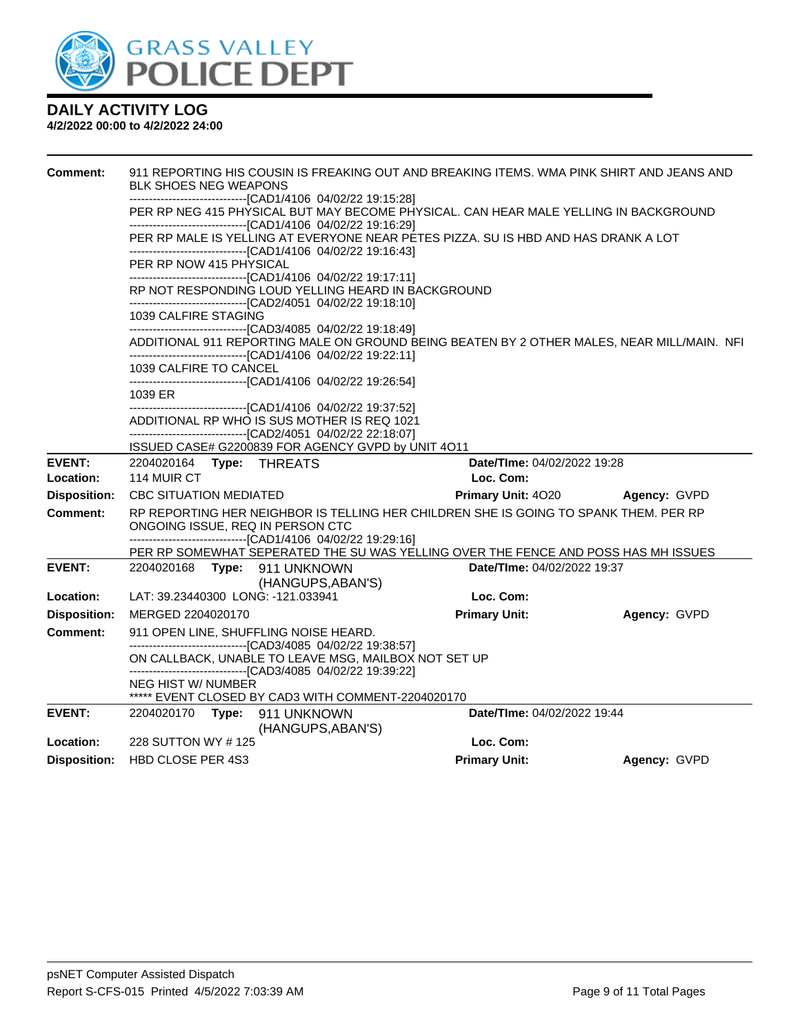

| Comment:            | <b>BLK SHOES NEG WEAPONS</b>  |                                                                                                                      | 911 REPORTING HIS COUSIN IS FREAKING OUT AND BREAKING ITEMS. WMA PINK SHIRT AND JEANS AND  |              |
|---------------------|-------------------------------|----------------------------------------------------------------------------------------------------------------------|--------------------------------------------------------------------------------------------|--------------|
|                     |                               | ---------------------------------[CAD1/4106_04/02/22_19:15:28]                                                       |                                                                                            |              |
|                     |                               |                                                                                                                      | PER RP NEG 415 PHYSICAL BUT MAY BECOME PHYSICAL. CAN HEAR MALE YELLING IN BACKGROUND       |              |
|                     |                               | ----------------------------------[CAD1/4106 04/02/22 19:16:29]                                                      | PER RP MALE IS YELLING AT EVERYONE NEAR PETES PIZZA. SU IS HBD AND HAS DRANK A LOT         |              |
|                     |                               | --------------------------------[CAD1/4106 04/02/22 19:16:43]                                                        |                                                                                            |              |
|                     | PER RP NOW 415 PHYSICAL       |                                                                                                                      |                                                                                            |              |
|                     |                               |                                                                                                                      |                                                                                            |              |
|                     |                               | RP NOT RESPONDING LOUD YELLING HEARD IN BACKGROUND<br>-------------------------------[CAD2/4051 04/02/22 19:18:10]   |                                                                                            |              |
|                     | 1039 CALFIRE STAGING          |                                                                                                                      |                                                                                            |              |
|                     |                               | -------------------------------[CAD3/4085 04/02/22 19:18:49]                                                         |                                                                                            |              |
|                     |                               |                                                                                                                      | ADDITIONAL 911 REPORTING MALE ON GROUND BEING BEATEN BY 2 OTHER MALES, NEAR MILL/MAIN. NFI |              |
|                     |                               | -------------------------------[CAD1/4106 04/02/22 19:22:11]                                                         |                                                                                            |              |
|                     | 1039 CALFIRE TO CANCEL        |                                                                                                                      |                                                                                            |              |
|                     |                               | -------------------------------[CAD1/4106 04/02/22 19:26:54]                                                         |                                                                                            |              |
|                     | 1039 ER                       |                                                                                                                      |                                                                                            |              |
|                     |                               | -------------------------------[CAD1/4106 04/02/22 19:37:52]                                                         |                                                                                            |              |
|                     |                               | ADDITIONAL RP WHO IS SUS MOTHER IS REQ 1021                                                                          |                                                                                            |              |
|                     |                               | ---------------------------------[CAD2/4051 04/02/22 22:18:07]<br>ISSUED CASE# G2200839 FOR AGENCY GVPD by UNIT 4011 |                                                                                            |              |
| <b>EVENT:</b>       | 2204020164    Type: THREATS   |                                                                                                                      | Date/Time: 04/02/2022 19:28                                                                |              |
| Location:           | 114 MUIR CT                   |                                                                                                                      | Loc. Com:                                                                                  |              |
| <b>Disposition:</b> | <b>CBC SITUATION MEDIATED</b> |                                                                                                                      | Primary Unit: 4020                                                                         | Agency: GVPD |
| <b>Comment:</b>     |                               |                                                                                                                      | RP REPORTING HER NEIGHBOR IS TELLING HER CHILDREN SHE IS GOING TO SPANK THEM. PER RP       |              |
|                     |                               | ONGOING ISSUE, REQ IN PERSON CTC                                                                                     |                                                                                            |              |
|                     |                               | -------------------------------[CAD1/4106 04/02/22 19:29:16]                                                         |                                                                                            |              |
|                     |                               |                                                                                                                      | PER RP SOMEWHAT SEPERATED THE SU WAS YELLING OVER THE FENCE AND POSS HAS MH ISSUES         |              |
| <b>EVENT:</b>       |                               | 2204020168    Type: 911    UNKNOWN                                                                                   | Date/TIme: 04/02/2022 19:37                                                                |              |
|                     |                               | (HANGUPS, ABAN'S)                                                                                                    |                                                                                            |              |
| Location:           |                               | LAT: 39.23440300 LONG: -121.033941                                                                                   | Loc. Com:                                                                                  |              |
| <b>Disposition:</b> | MERGED 2204020170             |                                                                                                                      | <b>Primary Unit:</b>                                                                       | Agency: GVPD |
| Comment:            |                               | 911 OPEN LINE, SHUFFLING NOISE HEARD.<br>-------------------------------[CAD3/4085 04/02/22 19:38:57]                |                                                                                            |              |
|                     |                               | ON CALLBACK, UNABLE TO LEAVE MSG, MAILBOX NOT SET UP<br>-------------------------------[CAD3/4085 04/02/22 19:39:22] |                                                                                            |              |
|                     | NEG HIST W/ NUMBER            |                                                                                                                      |                                                                                            |              |
|                     |                               | ***** EVENT CLOSED BY CAD3 WITH COMMENT-2204020170                                                                   |                                                                                            |              |
| <b>EVENT:</b>       |                               | 2204020170 Type: 911 UNKNOWN                                                                                         | Date/TIme: 04/02/2022 19:44                                                                |              |
|                     |                               | (HANGUPS, ABAN'S)                                                                                                    |                                                                                            |              |
| Location:           | 228 SUTTON WY #125            |                                                                                                                      | Loc. Com:                                                                                  |              |
| <b>Disposition:</b> | HBD CLOSE PER 4S3             |                                                                                                                      | <b>Primary Unit:</b>                                                                       | Agency: GVPD |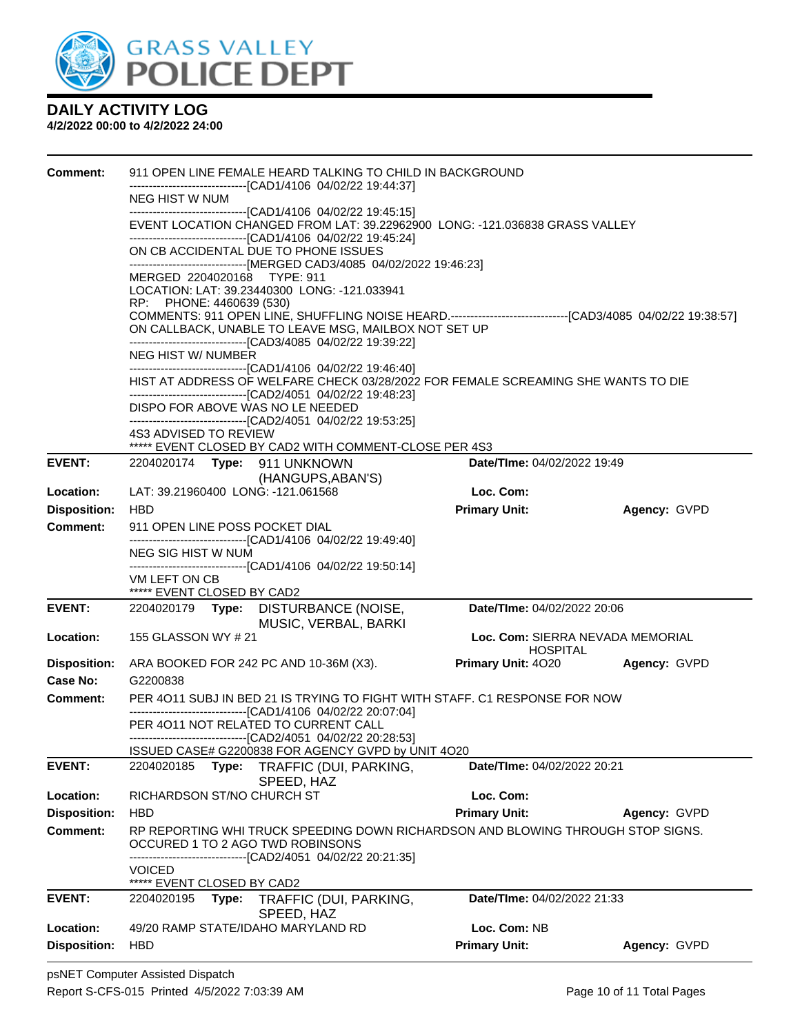

| <b>Comment:</b>     | 911 OPEN LINE FEMALE HEARD TALKING TO CHILD IN BACKGROUND                                                                                        |                                              |              |
|---------------------|--------------------------------------------------------------------------------------------------------------------------------------------------|----------------------------------------------|--------------|
|                     | ------------------------------[CAD1/4106 04/02/22 19:44:37]<br>NEG HIST W NUM                                                                    |                                              |              |
|                     | -------------------------------[CAD1/4106 04/02/22 19:45:15]                                                                                     |                                              |              |
|                     | EVENT LOCATION CHANGED FROM LAT: 39.22962900 LONG: -121.036838 GRASS VALLEY<br>-------------------------------[CAD1/4106 04/02/22 19:45:24]      |                                              |              |
|                     | ON CB ACCIDENTAL DUE TO PHONE ISSUES                                                                                                             |                                              |              |
|                     | ------------------------------[MERGED CAD3/4085 04/02/2022 19:46:23]                                                                             |                                              |              |
|                     | MERGED 2204020168 TYPE: 911<br>LOCATION: LAT: 39.23440300 LONG: -121.033941                                                                      |                                              |              |
|                     | RP: PHONE: 4460639 (530)                                                                                                                         |                                              |              |
|                     | COMMENTS: 911 OPEN LINE, SHUFFLING NOISE HEARD.---------------------------------[CAD3/4085 04/02/22 19:38:57]                                    |                                              |              |
|                     | ON CALLBACK, UNABLE TO LEAVE MSG, MAILBOX NOT SET UP<br>-------------------------------[CAD3/4085 04/02/22 19:39:22]                             |                                              |              |
|                     | <b>NEG HIST W/ NUMBER</b>                                                                                                                        |                                              |              |
|                     | ------------------------------[CAD1/4106 04/02/22 19:46:40]<br>HIST AT ADDRESS OF WELFARE CHECK 03/28/2022 FOR FEMALE SCREAMING SHE WANTS TO DIE |                                              |              |
|                     | ----------------------------------[CAD2/4051_04/02/22_19:48:23]                                                                                  |                                              |              |
|                     | DISPO FOR ABOVE WAS NO LE NEEDED                                                                                                                 |                                              |              |
|                     | -------------------------------[CAD2/4051_04/02/22 19:53:25]<br>4S3 ADVISED TO REVIEW                                                            |                                              |              |
|                     | ***** EVENT CLOSED BY CAD2 WITH COMMENT-CLOSE PER 4S3                                                                                            |                                              |              |
| <b>EVENT:</b>       | 2204020174 Type: 911 UNKNOWN                                                                                                                     | Date/TIme: 04/02/2022 19:49                  |              |
| Location:           | (HANGUPS, ABAN'S)<br>LAT: 39.21960400 LONG: -121.061568                                                                                          | Loc. Com:                                    |              |
| <b>Disposition:</b> | <b>HBD</b>                                                                                                                                       | <b>Primary Unit:</b>                         | Agency: GVPD |
| <b>Comment:</b>     | 911 OPEN LINE POSS POCKET DIAL                                                                                                                   |                                              |              |
|                     | ------------------------------[CAD1/4106 04/02/22 19:49:40]                                                                                      |                                              |              |
|                     | NEG SIG HIST W NUM<br>-------------------------------[CAD1/4106 04/02/22 19:50:14]                                                               |                                              |              |
|                     | VM LEFT ON CB                                                                                                                                    |                                              |              |
|                     | ***** EVENT CLOSED BY CAD2                                                                                                                       |                                              |              |
| <b>EVENT:</b>       | 2204020179 Type: DISTURBANCE (NOISE,<br>MUSIC, VERBAL, BARKI                                                                                     | Date/TIme: 04/02/2022 20:06                  |              |
| Location:           | 155 GLASSON WY # 21                                                                                                                              | Loc. Com: SIERRA NEVADA MEMORIAL             |              |
|                     | <b>Disposition:</b> ARA BOOKED FOR 242 PC AND 10-36M (X3).                                                                                       | <b>HOSPITAL</b><br><b>Primary Unit: 4020</b> | Agency: GVPD |
| Case No:            | G2200838                                                                                                                                         |                                              |              |
| Comment:            | PER 4011 SUBJ IN BED 21 IS TRYING TO FIGHT WITH STAFF. C1 RESPONSE FOR NOW                                                                       |                                              |              |
|                     | ------------------------------[CAD1/4106 04/02/22 20:07:04]                                                                                      |                                              |              |
|                     | PER 4011 NOT RELATED TO CURRENT CALL<br>--------------------------------[CAD2/4051 04/02/22 20:28:53]                                            |                                              |              |
|                     | ISSUED CASE# G2200838 FOR AGENCY GVPD by UNIT 4O20                                                                                               |                                              |              |
| <b>EVENT:</b>       | 2204020185<br>TRAFFIC (DUI, PARKING,<br>Type:                                                                                                    | Date/TIme: 04/02/2022 20:21                  |              |
| Location:           | SPEED, HAZ<br>RICHARDSON ST/NO CHURCH ST                                                                                                         | Loc. Com:                                    |              |
| <b>Disposition:</b> | <b>HBD</b>                                                                                                                                       | <b>Primary Unit:</b>                         | Agency: GVPD |
| Comment:            | RP REPORTING WHI TRUCK SPEEDING DOWN RICHARDSON AND BLOWING THROUGH STOP SIGNS.                                                                  |                                              |              |
|                     | OCCURED 1 TO 2 AGO TWD ROBINSONS                                                                                                                 |                                              |              |
|                     | -------------------[CAD2/4051_04/02/22_20:21:35]<br>VOICED                                                                                       |                                              |              |
|                     | ***** EVENT CLOSED BY CAD2                                                                                                                       |                                              |              |
| <b>EVENT:</b>       | 2204020195<br>Type:<br>TRAFFIC (DUI, PARKING,                                                                                                    | Date/TIme: 04/02/2022 21:33                  |              |
|                     | SPEED, HAZ                                                                                                                                       |                                              |              |
| Location:           | 49/20 RAMP STATE/IDAHO MARYLAND RD<br><b>HBD</b>                                                                                                 | Loc. Com: NB                                 |              |
| <b>Disposition:</b> |                                                                                                                                                  | <b>Primary Unit:</b>                         | Agency: GVPD |